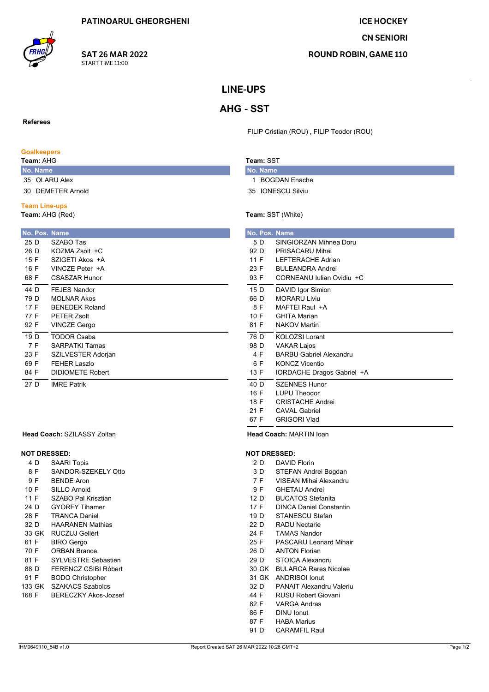**CN SENIORI** 

**ROUND ROBIN, GAME 110** 

## **LINE-UPS**

# **AHG - SST**

**Referees** 

# **Goalkeepers**

Team: AHG

No. Name 35 OLARU Alex

30 DEMETER Arnold

### **Team Line-ups**

Team: AHG (Red)

|      | No. Pos. Name           |
|------|-------------------------|
| 25 D | SZABO Tas               |
| 26 D | KOZMA Zsolt +C          |
| 15 F | SZIGETI Akos +A         |
| 16 F | VINCZE Peter +A         |
| 68 F | <b>CSASZAR Hunor</b>    |
| 44 D | FFJFS Nandor            |
| 79 D | <b>MOLNAR Akos</b>      |
| 17 F | <b>BENEDEK Roland</b>   |
| 77 F | PFTFR 7solt             |
| 92 F | <b>VINCZE Gergo</b>     |
| 19 D | <b>TODOR Csaba</b>      |
| 7 F  | <b>SARPATKI Tamas</b>   |
| 23 F | SZILVESTER Adorjan      |
| 69 F | FFHFR Laszlo            |
| 84 F | <b>DIDIOMETE Robert</b> |
| 27 D | <b>IMRE Patrik</b>      |

#### Head Coach: SZILASSY Zoltan

## **NOT DRESSED:**

- 4 D **SAARI Topis**
- 8F SANDOR-SZEKELY Otto
- 9F **BENDE Aron**
- $10 F$ SILLO Arnold
- $11F$ SZABO Pal Krisztian
- **GYORFY Tihamer** 24 D
- 28 F **TRANCA Daniel**
- $32D$ **HAARANEN Mathias**
- 33 GK RUCZUJ Gellért
- 61 F **BIRO** Gergo
- 70 F **ORBAN Brance**
- 81 F SYLVESTRE Sebastien 88 D FERENCZ CSIBI Róbert
- 91 F **BODO Christopher**
- 133 GK SZAKACS Szabolcs
- 168 F **BERECZKY Akos-Jozsef**

## Team: SST

No. Name 1 BOGDAN Enache

FILIP Cristian (ROU), FILIP Teodor (ROU)

- 35 IONESCU Silviu
- Team: SST (White)

| No. Pos. Name |                                |
|---------------|--------------------------------|
| 5 D           | SINGIORZAN Mihnea Doru         |
| 92 D          | PRISACARU Mihai                |
| 11 F          | <b>LEFTERACHE Adrian</b>       |
| 23 F          | <b>BULFANDRA Andrei</b>        |
| 93 F          | CORNEANU Julian Ovidiu +C      |
| 15 D          | DAVID Igor Simion              |
| 66 D          | MORARU Liviu                   |
| 8 F           | MAFTEI Raul +A                 |
| 10 F          | <b>GHITA Marian</b>            |
| 81 F          | <b>NAKOV Martin</b>            |
| 76 D          | <b>KOLOZSI Lorant</b>          |
| 98 D          | <b>VAKAR Lajos</b>             |
| 4 F           | <b>BARBU Gabriel Alexandru</b> |
| 6 F           | <b>KONCZ Vicentio</b>          |
| 13 F          | IORDACHE Dragos Gabriel +A     |
| 40 D          | SZENNES Hunor                  |
| 16 F          | <b>LUPU Theodor</b>            |
| 18 F          | <b>CRISTACHE Andrei</b>        |
| 21 F          | CAVAL Gabriel                  |
| 67 F          | <b>GRIGORI Vlad</b>            |

Head Coach: MARTIN loan

### **NOT DRESSED:**

- 2 D DAVID Florin
- $3D$ STEFAN Andrei Bogdan
- VISEAN Mihai Alexandru  $7F$
- 9F **GHETAU Andrei**
- $12D$ **BUCATOS Stefanita**
- 17 F **DINCA Daniel Constantin**
- STANESCU Stefan  $19D$
- $22D$ **RADU Nectarie** 24 F **TAMAS Nandor**
- 25 F **PASCARU Leonard Mihair**
- 26 D **ANTON Florian**
- 29 D STOICA Alexandru
- 30 GK BULARCA Rares Nicolae
- 31 GK ANDRISOLIONUT
- 32 D PANAIT Alexandru Valeriu
- 44 F **RUSU Robert Giovani**
- 82 F **VARGA Andras**
- 86 F **DINU** Ionut
- 87 F **HABA Marius**
- 91 D **CARAMFIL Raul**